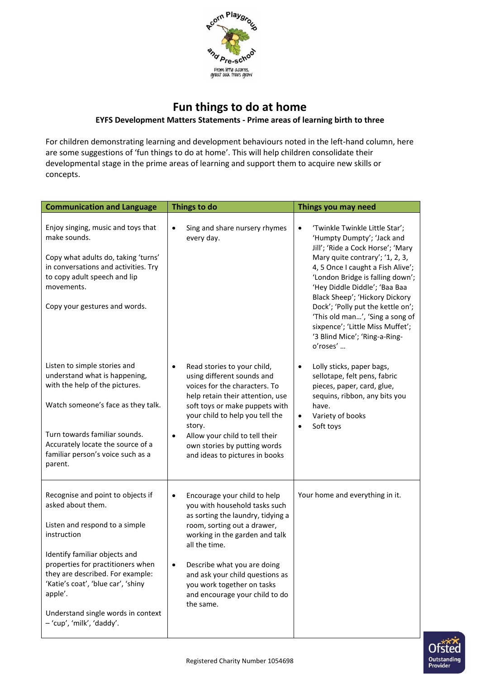

## **Fun things to do at home EYFS Development Matters Statements - Prime areas of learning birth to three**

For children demonstrating learning and development behaviours noted in the left-hand column, here are some suggestions of 'fun things to do at home'. This will help children consolidate their developmental stage in the prime areas of learning and support them to acquire new skills or concepts.

| <b>Communication and Language</b>                                                                                                                                                                                                                                                                                                     | Things to do                                                                                                                                                                                                                                                                                                                                                  | Things you may need                                                                                                                                                                                                                                                                                                                                                                                                                       |
|---------------------------------------------------------------------------------------------------------------------------------------------------------------------------------------------------------------------------------------------------------------------------------------------------------------------------------------|---------------------------------------------------------------------------------------------------------------------------------------------------------------------------------------------------------------------------------------------------------------------------------------------------------------------------------------------------------------|-------------------------------------------------------------------------------------------------------------------------------------------------------------------------------------------------------------------------------------------------------------------------------------------------------------------------------------------------------------------------------------------------------------------------------------------|
| Enjoy singing, music and toys that<br>make sounds.<br>Copy what adults do, taking 'turns'<br>in conversations and activities. Try<br>to copy adult speech and lip<br>movements.<br>Copy your gestures and words.                                                                                                                      | Sing and share nursery rhymes<br>$\bullet$<br>every day.                                                                                                                                                                                                                                                                                                      | 'Twinkle Twinkle Little Star';<br>'Humpty Dumpty'; 'Jack and<br>Jill'; 'Ride a Cock Horse'; 'Mary<br>Mary quite contrary'; '1, 2, 3,<br>4, 5 Once I caught a Fish Alive';<br>'London Bridge is falling down';<br>'Hey Diddle Diddle'; 'Baa Baa<br>Black Sheep'; 'Hickory Dickory<br>Dock'; 'Polly put the kettle on';<br>'This old man', 'Sing a song of<br>sixpence'; 'Little Miss Muffet';<br>'3 Blind Mice'; 'Ring-a-Ring-<br>o'roses' |
| Listen to simple stories and<br>understand what is happening,<br>with the help of the pictures.<br>Watch someone's face as they talk.<br>Turn towards familiar sounds.<br>Accurately locate the source of a<br>familiar person's voice such as a<br>parent.                                                                           | Read stories to your child,<br>$\bullet$<br>using different sounds and<br>voices for the characters. To<br>help retain their attention, use<br>soft toys or make puppets with<br>your child to help you tell the<br>story.<br>Allow your child to tell their<br>$\bullet$<br>own stories by putting words<br>and ideas to pictures in books                   | Lolly sticks, paper bags,<br>sellotape, felt pens, fabric<br>pieces, paper, card, glue,<br>sequins, ribbon, any bits you<br>have.<br>Variety of books<br>$\bullet$<br>Soft toys                                                                                                                                                                                                                                                           |
| Recognise and point to objects if<br>asked about them.<br>Listen and respond to a simple<br>instruction<br>Identify familiar objects and<br>properties for practitioners when<br>they are described. For example:<br>'Katie's coat', 'blue car', 'shiny<br>apple'.<br>Understand single words in context<br>- 'cup', 'milk', 'daddy'. | Encourage your child to help<br>$\bullet$<br>you with household tasks such<br>as sorting the laundry, tidying a<br>room, sorting out a drawer,<br>working in the garden and talk<br>all the time.<br>Describe what you are doing<br>$\bullet$<br>and ask your child questions as<br>you work together on tasks<br>and encourage your child to do<br>the same. | Your home and everything in it.                                                                                                                                                                                                                                                                                                                                                                                                           |

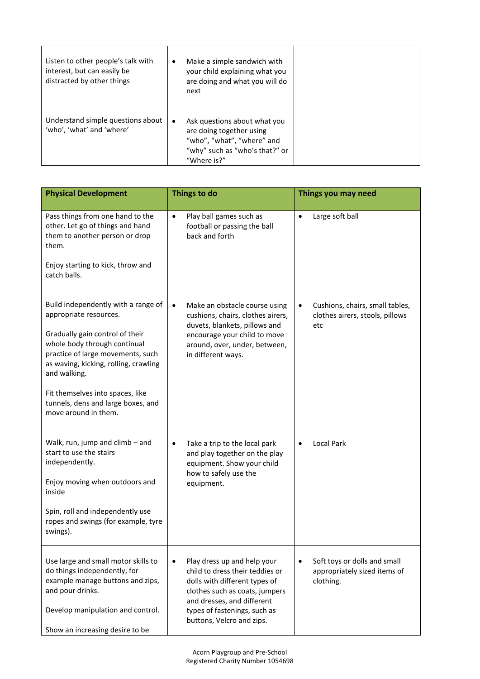| Listen to other people's talk with<br>interest, but can easily be<br>distracted by other things | ٠         | Make a simple sandwich with<br>your child explaining what you<br>are doing and what you will do<br>next                                 |  |
|-------------------------------------------------------------------------------------------------|-----------|-----------------------------------------------------------------------------------------------------------------------------------------|--|
| Understand simple questions about<br>'who', 'what' and 'where'                                  | $\bullet$ | Ask questions about what you<br>are doing together using<br>"who", "what", "where" and<br>"why" such as "who's that?" or<br>"Where is?" |  |

| <b>Physical Development</b>                                                                                                                                                                                                                                                                                                      | Things to do                                                                                                                                                                                                                              | Things you may need                                                                    |
|----------------------------------------------------------------------------------------------------------------------------------------------------------------------------------------------------------------------------------------------------------------------------------------------------------------------------------|-------------------------------------------------------------------------------------------------------------------------------------------------------------------------------------------------------------------------------------------|----------------------------------------------------------------------------------------|
| Pass things from one hand to the<br>other. Let go of things and hand<br>them to another person or drop<br>them.<br>Enjoy starting to kick, throw and<br>catch balls.                                                                                                                                                             | Play ball games such as<br>$\bullet$<br>football or passing the ball<br>back and forth                                                                                                                                                    | Large soft ball<br>$\bullet$                                                           |
| Build independently with a range of<br>appropriate resources.<br>Gradually gain control of their<br>whole body through continual<br>practice of large movements, such<br>as waving, kicking, rolling, crawling<br>and walking.<br>Fit themselves into spaces, like<br>tunnels, dens and large boxes, and<br>move around in them. | Make an obstacle course using<br>$\bullet$<br>cushions, chairs, clothes airers,<br>duvets, blankets, pillows and<br>encourage your child to move<br>around, over, under, between,<br>in different ways.                                   | Cushions, chairs, small tables,<br>$\bullet$<br>clothes airers, stools, pillows<br>etc |
| Walk, run, jump and climb - and<br>start to use the stairs<br>independently.<br>Enjoy moving when outdoors and<br>inside<br>Spin, roll and independently use<br>ropes and swings (for example, tyre<br>swings).                                                                                                                  | Take a trip to the local park<br>$\bullet$<br>and play together on the play<br>equipment. Show your child<br>how to safely use the<br>equipment.                                                                                          | <b>Local Park</b>                                                                      |
| Use large and small motor skills to<br>do things independently, for<br>example manage buttons and zips,<br>and pour drinks.<br>Develop manipulation and control.<br>Show an increasing desire to be                                                                                                                              | Play dress up and help your<br>$\bullet$<br>child to dress their teddies or<br>dolls with different types of<br>clothes such as coats, jumpers<br>and dresses, and different<br>types of fastenings, such as<br>buttons, Velcro and zips. | Soft toys or dolls and small<br>appropriately sized items of<br>clothing.              |